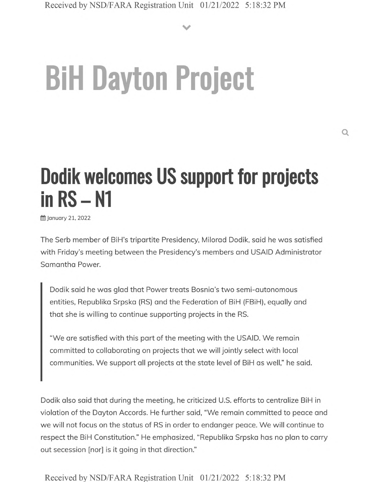**V**

## **BiH Dayton Project**

## **Dodik welcomes US support for projects in RS - N1**

**前 January 21, 2022** 

The Serb member of BiH's tripartite Presidency, Milorad Dodik, said he was satisfied with Friday's meeting between the Presidency's members and USAID Administrator Samantha Power.

Dodik said he was glad that Power treats Bosnia's two semi-autonomous entities, Republika Srpska (RS) and the Federation of BiH (FBiH), equally and that she is willing to continue supporting projects in the RS.

"We are satisfied with this part of the meeting with the USAID. We remain committed to collaborating on projects that we will jointly select with local communities. We support all projects at the state level of BiH as well," he said.

Dodik also said that during the meeting, he criticized U.S. efforts to centralize BiH in violation of the Dayton Accords. He further said, "We remain committed to peace and we will not focus on the status of RS in order to endanger peace. We will continue to respect the BiH Constitution." He emphasized, "Republika Srpska has no plan to carry out secession [nor] is it going in that direction."

Received by NSD/FARA Registration Unit 01/21/2022 5:18:32 PM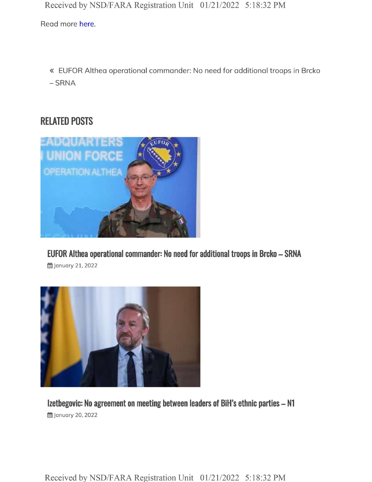Received by NSD/FARA Registration Unit 01/21/2022 5:18:32 PM

Read more here.

« EUFOR Althea operational commander: No need for additional troops in Brcko  $-$  SRNA

## RELATED POSTS



**EUFOR Althea operational commander: No need for additional troops in Brcko - SRNA**

§S January *21,* 2022



**Izetbegovic: No agreement on meeting between leaders of BiH's ethnic parties - N1 曲 January 20, 2022** 

Received by NSD/FARA Registration Unit 01/21/2022 5:18:32 PM